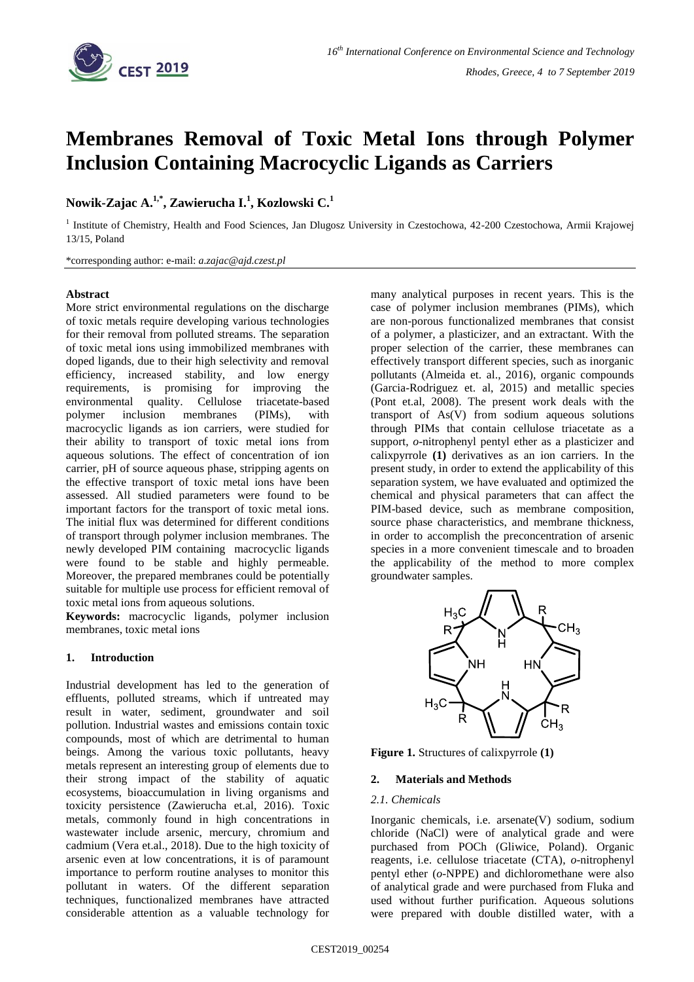

# **Membranes Removal of Toxic Metal Ions through Polymer Inclusion Containing Macrocyclic Ligands as Carriers**

# **Nowik-Zajac A. 1,\* , Zawierucha I. 1 , Kozlowski C. 1**

<sup>1</sup> Institute of Chemistry, Health and Food Sciences, Jan Dlugosz University in Czestochowa, 42-200 Czestochowa, Armii Krajowej 13/15, Poland

\*corresponding author: e-mail: *a.zajac@ajd.czest.pl*

#### **Abstract**

More strict environmental regulations on the discharge of toxic metals require developing various technologies for their removal from polluted streams. The separation of toxic metal ions using immobilized membranes with doped ligands, due to their high selectivity and removal efficiency, increased stability, and low energy requirements, is promising for improving the environmental quality. Cellulose triacetate-based polymer inclusion membranes (PIMs), with macrocyclic ligands as ion carriers, were studied for their ability to transport of toxic metal ions from aqueous solutions. The effect of concentration of ion carrier, pH of source aqueous phase, stripping agents on the effective transport of toxic metal ions have been assessed. All studied parameters were found to be important factors for the transport of toxic metal ions. The initial flux was determined for different conditions of transport through polymer inclusion membranes. The newly developed PIM containing macrocyclic ligands were found to be stable and highly permeable. Moreover, the prepared membranes could be potentially suitable for multiple use process for efficient removal of toxic metal ions from aqueous solutions.

**Keywords:** macrocyclic ligands, polymer inclusion membranes, toxic metal ions

# **1. Introduction**

Industrial development has led to the generation of effluents, polluted streams, which if untreated may result in water, sediment, groundwater and soil pollution. Industrial wastes and emissions contain toxic compounds, most of which are detrimental to human beings. Among the various toxic pollutants, heavy metals represent an interesting group of elements due to their strong impact of the stability of aquatic ecosystems, bioaccumulation in living organisms and toxicity persistence (Zawierucha et.al, 2016). Toxic metals, commonly found in high concentrations in wastewater include arsenic, mercury, chromium and cadmium (Vera et.al., 2018). Due to the high toxicity of arsenic even at low concentrations, it is of paramount importance to perform routine analyses to monitor this pollutant in waters. Of the different separation techniques, functionalized membranes have attracted considerable attention as a valuable technology for

many analytical purposes in recent years. This is the case of polymer inclusion membranes (PIMs), which are non-porous functionalized membranes that consist of a polymer, a plasticizer, and an extractant. With the proper selection of the carrier, these membranes can effectively transport different species, such as inorganic pollutants (Almeida et. al., 2016), organic compounds (Garcia-Rodriguez et. al, 2015) and metallic species (Pont et.al, 2008). The present work deals with the transport of As(V) from sodium aqueous solutions through PIMs that contain cellulose triacetate as a support, *o*-nitrophenyl pentyl ether as a plasticizer and calixpyrrole **(1)** derivatives as an ion carriers. In the present study, in order to extend the applicability of this separation system, we have evaluated and optimized the chemical and physical parameters that can affect the PIM-based device, such as membrane composition, source phase characteristics, and membrane thickness, in order to accomplish the preconcentration of arsenic species in a more convenient timescale and to broaden the applicability of the method to more complex groundwater samples.



**Figure 1.** Structures of calixpyrrole **(1)**

# **2. Materials and Methods**

#### *2.1. Chemicals*

Inorganic chemicals, i.e. arsenate(V) sodium, sodium chloride (NaCl) were of analytical grade and were purchased from POCh (Gliwice, Poland). Organic reagents, i.e. cellulose triacetate (CTA), *o*-nitrophenyl pentyl ether (*o*-NPPE) and dichloromethane were also of analytical grade and were purchased from Fluka and used without further purification. Aqueous solutions were prepared with double distilled water, with a